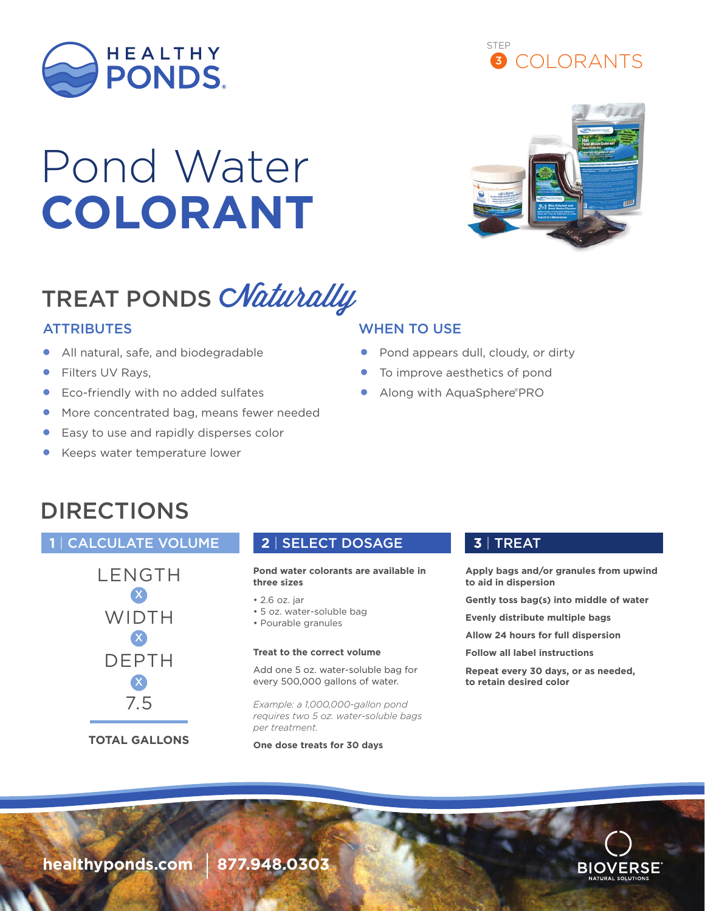

# Pond Water **COLORANT**

## TREAT PONDS CNaturally

- All natural, safe, and biodegradable
- Filters UV Rays,
- Eco-friendly with no added sulfates
- More concentrated bag, means fewer needed
- Easy to use and rapidly disperses color
- Keeps water temperature lower

### ATTRIBUTES WHEN TO USE

- Pond appears dull, cloudy, or dirty
- To improve aesthetics of pond
- Along with AquaSphere®PRO

### DIRECTIONS

### **1** | CALCULATE VOLUME **2** | SELECT DOSAGE **3** | TREAT



**Pond water colorants are available in three sizes**

### • 2.6 oz. jar

- 5 oz. water-soluble bag
- Pourable granules

### **Treat to the correct volume**

Add one 5 oz. water-soluble bag for every 500,000 gallons of water.

*Example: a 1,000,000-gallon pond requires two 5 oz. water-soluble bags per treatment.*

**One dose treats for 30 days**

**Apply bags and/or granules from upwind to aid in dispersion**

**Gently toss bag(s) into middle of water**

**Evenly distribute multiple bags**

**Allow 24 hours for full dispersion**

**Follow all label instructions**

**Repeat every 30 days, or as needed, to retain desired color**